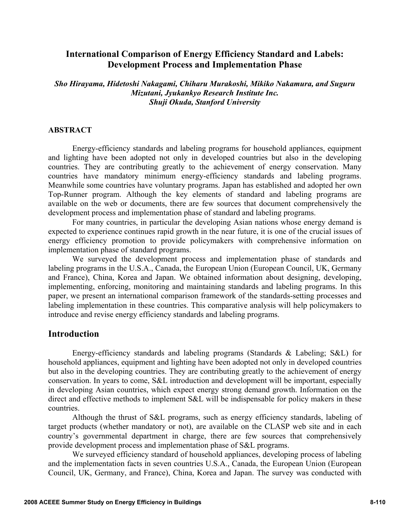## **International Comparison of Energy Efficiency Standard and Labels: Development Process and Implementation Phase**

*Sho Hirayama, Hidetoshi Nakagami, Chiharu Murakoshi, Mikiko Nakamura, and Suguru Mizutani, Jyukankyo Research Institute Inc. Shuji Okuda, Stanford University* 

## **ABSTRACT**

Energy-efficiency standards and labeling programs for household appliances, equipment and lighting have been adopted not only in developed countries but also in the developing countries. They are contributing greatly to the achievement of energy conservation. Many countries have mandatory minimum energy-efficiency standards and labeling programs. Meanwhile some countries have voluntary programs. Japan has established and adopted her own Top-Runner program. Although the key elements of standard and labeling programs are available on the web or documents, there are few sources that document comprehensively the development process and implementation phase of standard and labeling programs.

For many countries, in particular the developing Asian nations whose energy demand is expected to experience continues rapid growth in the near future, it is one of the crucial issues of energy efficiency promotion to provide policymakers with comprehensive information on implementation phase of standard programs.

We surveyed the development process and implementation phase of standards and labeling programs in the U.S.A., Canada, the European Union (European Council, UK, Germany and France), China, Korea and Japan. We obtained information about designing, developing, implementing, enforcing, monitoring and maintaining standards and labeling programs. In this paper, we present an international comparison framework of the standards-setting processes and labeling implementation in these countries. This comparative analysis will help policymakers to introduce and revise energy efficiency standards and labeling programs.

## **Introduction**

Energy-efficiency standards and labeling programs (Standards & Labeling; S&L) for household appliances, equipment and lighting have been adopted not only in developed countries but also in the developing countries. They are contributing greatly to the achievement of energy conservation. In years to come, S&L introduction and development will be important, especially in developing Asian countries, which expect energy strong demand growth. Information on the direct and effective methods to implement S&L will be indispensable for policy makers in these countries.

Although the thrust of S&L programs, such as energy efficiency standards, labeling of target products (whether mandatory or not), are available on the CLASP web site and in each country's governmental department in charge, there are few sources that comprehensively provide development process and implementation phase of S&L programs.

We surveyed efficiency standard of household appliances, developing process of labeling and the implementation facts in seven countries U.S.A., Canada, the European Union (European Council, UK, Germany, and France), China, Korea and Japan. The survey was conducted with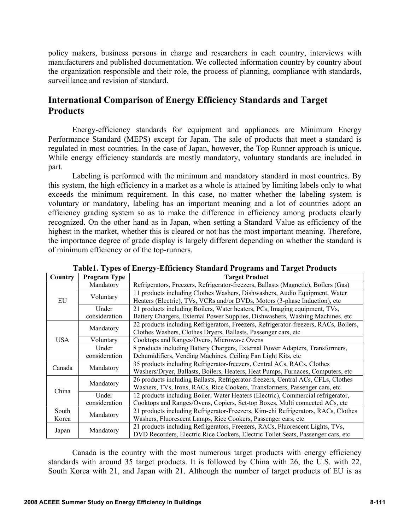policy makers, business persons in charge and researchers in each country, interviews with manufacturers and published documentation. We collected information country by country about the organization responsible and their role, the process of planning, compliance with standards, surveillance and revision of standard.

# **International Comparison of Energy Efficiency Standards and Target Products**

Energy-efficiency standards for equipment and appliances are Minimum Energy Performance Standard (MEPS) except for Japan. The sale of products that meet a standard is regulated in most countries. In the case of Japan, however, the Top Runner approach is unique. While energy efficiency standards are mostly mandatory, voluntary standards are included in part.

Labeling is performed with the minimum and mandatory standard in most countries. By this system, the high efficiency in a market as a whole is attained by limiting labels only to what exceeds the minimum requirement. In this case, no matter whether the labeling system is voluntary or mandatory, labeling has an important meaning and a lot of countries adopt an efficiency grading system so as to make the difference in efficiency among products clearly recognized. On the other hand as in Japan, when setting a Standard Value as efficiency of the highest in the market, whether this is cleared or not has the most important meaning. Therefore, the importance degree of grade display is largely different depending on whether the standard is of minimum efficiency or of the top-runners.

| Country        | <b>Program Type</b> | <b>Target Product</b>                                                                |  |  |
|----------------|---------------------|--------------------------------------------------------------------------------------|--|--|
| EU             | Mandatory           | Refrigerators, Freezers, Refrigerator-freezers, Ballasts (Magnetic), Boilers (Gas)   |  |  |
|                | Voluntary           | 11 products including Clothes Washers, Dishwashers, Audio Equipment, Water           |  |  |
|                |                     | Heaters (Electric), TVs, VCRs and/or DVDs, Motors (3-phase Induction), etc.          |  |  |
|                | Under               | 21 products including Boilers, Water heaters, PCs, Imaging equipment, TVs,           |  |  |
|                | consideration       | Battery Chargers, External Power Supplies, Dishwashers, Washing Machines, etc        |  |  |
| <b>USA</b>     | Mandatory           | 22 products including Refrigerators, Freezers, Refrigerator-freezers, RACs, Boilers, |  |  |
|                |                     | Clothes Washers, Clothes Dryers, Ballasts, Passenger cars, etc.                      |  |  |
|                | Voluntary           | Cooktops and Ranges/Ovens, Microwave Ovens                                           |  |  |
|                | Under               | 8 products including Battery Chargers, External Power Adapters, Transformers,        |  |  |
|                | consideration       | Dehumidifiers, Vending Machines, Ceiling Fan Light Kits, etc                         |  |  |
| Canada         | Mandatory           | 35 products including Refrigerator-freezers, Central ACs, RACs, Clothes              |  |  |
|                |                     | Washers/Dryer, Ballasts, Boilers, Heaters, Heat Pumps, Furnaces, Computers, etc      |  |  |
| China          | Mandatory           | 26 products including Ballasts, Refrigerator-freezers, Central ACs, CFLs, Clothes    |  |  |
|                |                     | Washers, TVs, Irons, RACs, Rice Cookers, Transformers, Passenger cars, etc.          |  |  |
|                | Under               | 12 products including Boiler, Water Heaters (Electric), Commercial refrigerator,     |  |  |
|                | consideration       | Cooktops and Ranges/Ovens, Copiers, Set-top Boxes, Multi connected ACs, etc          |  |  |
| South<br>Korea | Mandatory           | 21 products including Refrigerator-Freezers, Kim-chi Refrigerators, RACs, Clothes    |  |  |
|                |                     | Washers, Fluorescent Lamps, Rice Cookers, Passenger cars, etc                        |  |  |
| Japan          | Mandatory           | 21 products including Refrigerators, Freezers, RACs, Fluorescent Lights, TVs,        |  |  |
|                |                     | DVD Recorders, Electric Rice Cookers, Electric Toilet Seats, Passenger cars, etc.    |  |  |

**Table1. Types of Energy-Efficiency Standard Programs and Target Products** 

Canada is the country with the most numerous target products with energy efficiency standards with around 35 target products. It is followed by China with 26, the U.S. with 22, South Korea with 21, and Japan with 21. Although the number of target products of EU is as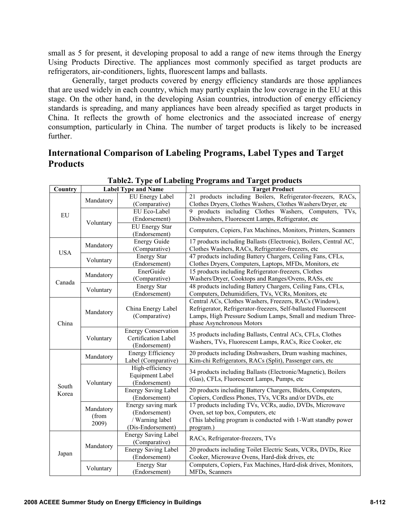small as 5 for present, it developing proposal to add a range of new items through the Energy Using Products Directive. The appliances most commonly specified as target products are refrigerators, air-conditioners, lights, fluorescent lamps and ballasts.

Generally, target products covered by energy efficiency standards are those appliances that are used widely in each country, which may partly explain the low coverage in the EU at this stage. On the other hand, in the developing Asian countries, introduction of energy efficiency standards is spreading, and many appliances have been already specified as target products in China. It reflects the growth of home electronics and the associated increase of energy consumption, particularly in China. The number of target products is likely to be increased further.

# **International Comparison of Labeling Programs, Label Types and Target Products**

| Country    |                             | <b>Label Type and Name</b>       | <b>Target Product</b>                                                                                           |
|------------|-----------------------------|----------------------------------|-----------------------------------------------------------------------------------------------------------------|
| EU         | Mandatory                   | EU Energy Label                  | 21 products including Boilers, Refrigerator-freezers, RACs,                                                     |
|            |                             | (Comparative)                    | Clothes Dryers, Clothes Washers, Clothes Washers/Dryer, etc                                                     |
|            | Voluntary                   | EU Eco-Label                     | 9 products including Clothes Washers, Computers, TVs,                                                           |
|            |                             | (Endorsement)                    | Dishwashers, Fluorescent Lamps, Refrigerator, etc                                                               |
|            |                             | <b>EU Energy Star</b>            | Computers, Copiers, Fax Machines, Monitors, Printers, Scanners                                                  |
|            |                             | (Endorsement)                    |                                                                                                                 |
| <b>USA</b> | Mandatory                   | <b>Energy Guide</b>              | 17 products including Ballasts (Electronic), Boilers, Central AC,                                               |
|            |                             | (Comparative)                    | Clothes Washers, RACs, Refrigerator-freezers, etc.                                                              |
|            | Voluntary                   | <b>Energy Star</b>               | 47 products including Battery Chargers, Ceiling Fans, CFLs,                                                     |
|            |                             | (Endorsement)                    | Clothes Dryers, Computers, Laptops, MFDs, Monitors, etc                                                         |
| Canada     | Mandatory                   | EnerGuide                        | 15 products including Refrigerator-freezers, Clothes                                                            |
|            |                             | (Comparative)                    | Washers/Dryer, Cooktops and Ranges/Ovens, RASs, etc                                                             |
|            | Voluntary                   | <b>Energy Star</b>               | 48 products including Battery Chargers, Ceiling Fans, CFLs,                                                     |
|            |                             | (Endorsement)                    | Computers, Dehumidifiers, TVs, VCRs, Monitors, etc                                                              |
|            | Mandatory                   |                                  | Central ACs, Clothes Washers, Freezers, RACs (Window),                                                          |
| China      |                             | China Energy Label               | Refrigerator, Refrigerator-freezers, Self-ballasted Fluorescent                                                 |
|            |                             | (Comparative)                    | Lamps, High Pressure Sodium Lamps, Small and medium Three-                                                      |
|            |                             |                                  | phase Asynchronous Motors                                                                                       |
|            | Voluntary                   | <b>Energy Conservation</b>       | 35 products including Ballasts, Central ACs, CFLs, Clothes                                                      |
|            |                             | Certification Label              | Washers, TVs, Fluorescent Lamps, RACs, Rice Cooker, etc                                                         |
|            |                             | (Endorsement)                    |                                                                                                                 |
|            | Mandatory                   | <b>Energy Efficiency</b>         | 20 products including Dishwashers, Drum washing machines,                                                       |
|            |                             | Label (Comparative)              | Kim-chi Refrigerators, RACs (Split), Passenger cars, etc                                                        |
|            | Voluntary                   | High-efficiency                  | 34 products including Ballasts (Electronic/Magnetic), Boilers                                                   |
|            |                             | <b>Equipment Label</b>           | (Gas), CFLs, Fluorescent Lamps, Pumps, etc.                                                                     |
| South      |                             | (Endorsement)                    |                                                                                                                 |
| Korea      |                             | Energy Saving Label              | 20 products including Battery Chargers, Bidets, Computers,                                                      |
|            |                             | (Endorsement)                    | Copiers, Cordless Phones, TVs, VCRs and/or DVDs, etc<br>17 products including TVs, VCRs, audio, DVDs, Microwave |
|            | Mandatory<br>(from<br>2009) | Energy saving mark               |                                                                                                                 |
|            |                             | (Endorsement)<br>/ Warning label | Oven, set top box, Computers, etc                                                                               |
|            |                             | (Dis-Endorsement)                | (This labeling program is conducted with 1-Watt standby power<br>program.)                                      |
| Japan      | Mandatory                   | <b>Energy Saving Label</b>       |                                                                                                                 |
|            |                             | (Comparative)                    | RACs, Refrigerator-freezers, TVs                                                                                |
|            |                             | <b>Energy Saving Label</b>       | 20 products including Toilet Electric Seats, VCRs, DVDs, Rice                                                   |
|            |                             | (Endorsement)                    | Cooker, Microwave Ovens, Hard-disk drives, etc                                                                  |
|            | Voluntary                   | <b>Energy Star</b>               | Computers, Copiers, Fax Machines, Hard-disk drives, Monitors,                                                   |
|            |                             | (Endorsement)                    | MFDs, Scanners                                                                                                  |
|            |                             |                                  |                                                                                                                 |

**Table2. Type of Labeling Programs and Target products**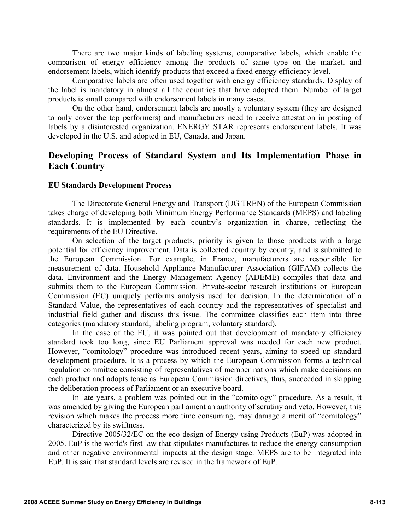There are two major kinds of labeling systems, comparative labels, which enable the comparison of energy efficiency among the products of same type on the market, and endorsement labels, which identify products that exceed a fixed energy efficiency level.

Comparative labels are often used together with energy efficiency standards. Display of the label is mandatory in almost all the countries that have adopted them. Number of target products is small compared with endorsement labels in many cases.

On the other hand, endorsement labels are mostly a voluntary system (they are designed to only cover the top performers) and manufacturers need to receive attestation in posting of labels by a disinterested organization. ENERGY STAR represents endorsement labels. It was developed in the U.S. and adopted in EU, Canada, and Japan.

# **Developing Process of Standard System and Its Implementation Phase in Each Country**

#### **EU Standards Development Process**

The Directorate General Energy and Transport (DG TREN) of the European Commission takes charge of developing both Minimum Energy Performance Standards (MEPS) and labeling standards. It is implemented by each country's organization in charge, reflecting the requirements of the EU Directive.

On selection of the target products, priority is given to those products with a large potential for efficiency improvement. Data is collected country by country, and is submitted to the European Commission. For example, in France, manufacturers are responsible for measurement of data. Household Appliance Manufacturer Association (GIFAM) collects the data. Environment and the Energy Management Agency (ADEME) compiles that data and submits them to the European Commission. Private-sector research institutions or European Commission (EC) uniquely performs analysis used for decision. In the determination of a Standard Value, the representatives of each country and the representatives of specialist and industrial field gather and discuss this issue. The committee classifies each item into three categories (mandatory standard, labeling program, voluntary standard).

In the case of the EU, it was pointed out that development of mandatory efficiency standard took too long, since EU Parliament approval was needed for each new product. However, "comitology" procedure was introduced recent years, aiming to speed up standard development procedure. It is a process by which the European Commission forms a technical regulation committee consisting of representatives of member nations which make decisions on each product and adopts tense as European Commission directives, thus, succeeded in skipping the deliberation process of Parliament or an executive board.

In late years, a problem was pointed out in the "comitology" procedure. As a result, it was amended by giving the European parliament an authority of scrutiny and veto. However, this revision which makes the process more time consuming, may damage a merit of "comitology" characterized by its swiftness.

Directive 2005/32/EC on the eco-design of Energy-using Products (EuP) was adopted in 2005. EuP is the world's first law that stipulates manufactures to reduce the energy consumption and other negative environmental impacts at the design stage. MEPS are to be integrated into EuP. It is said that standard levels are revised in the framework of EuP.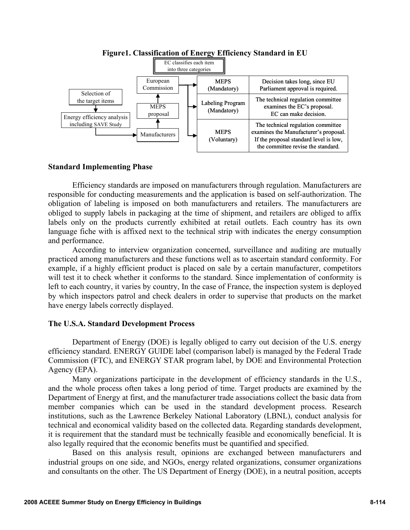



## **Standard Implementing Phase**

Efficiency standards are imposed on manufacturers through regulation. Manufacturers are responsible for conducting measurements and the application is based on self-authorization. The obligation of labeling is imposed on both manufacturers and retailers. The manufacturers are obliged to supply labels in packaging at the time of shipment, and retailers are obliged to affix labels only on the products currently exhibited at retail outlets. Each country has its own language fiche with is affixed next to the technical strip with indicates the energy consumption and performance.

According to interview organization concerned, surveillance and auditing are mutually practiced among manufacturers and these functions well as to ascertain standard conformity. For example, if a highly efficient product is placed on sale by a certain manufacturer, competitors will test it to check whether it conforms to the standard. Since implementation of conformity is left to each country, it varies by country, In the case of France, the inspection system is deployed by which inspectors patrol and check dealers in order to supervise that products on the market have energy labels correctly displayed.

## **The U.S.A. Standard Development Process**

Department of Energy (DOE) is legally obliged to carry out decision of the U.S. energy efficiency standard. ENERGY GUIDE label (comparison label) is managed by the Federal Trade Commission (FTC), and ENERGY STAR program label, by DOE and Environmental Protection Agency (EPA).

Many organizations participate in the development of efficiency standards in the U.S., and the whole process often takes a long period of time. Target products are examined by the Department of Energy at first, and the manufacturer trade associations collect the basic data from member companies which can be used in the standard development process. Research institutions, such as the Lawrence Berkeley National Laboratory (LBNL), conduct analysis for technical and economical validity based on the collected data. Regarding standards development, it is requirement that the standard must be technically feasible and economically beneficial. It is also legally required that the economic benefits must be quantified and specified.

Based on this analysis result, opinions are exchanged between manufacturers and industrial groups on one side, and NGOs, energy related organizations, consumer organizations and consultants on the other. The US Department of Energy (DOE), in a neutral position, accepts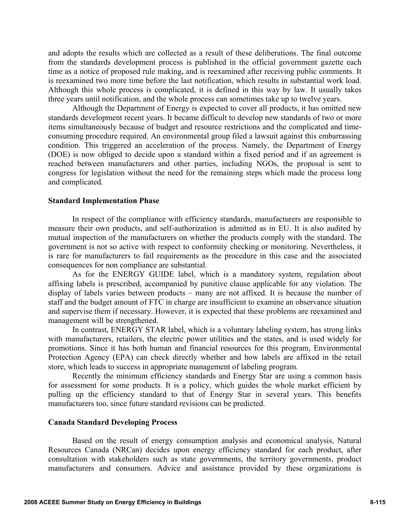and adopts the results which are collected as a result of these deliberations. The final outcome from the standards development process is published in the official government gazette each time as a notice of proposed rule making, and is reexamined after receiving public comments. It is reexamined two more time before the last notification, which results in substantial work load. Although this whole process is complicated, it is defined in this way by law. It usually takes three years until notification, and the whole process can sometimes take up to twelve years.

Although the Department of Energy is expected to cover all products, it has omitted new standards development recent years. It became difficult to develop new standards of two or more items simultaneously because of budget and resource restrictions and the complicated and timeconsuming procedure required. An environmental group filed a lawsuit against this embarrassing condition. This triggered an acceleration of the process. Namely, the Department of Energy (DOE) is now obliged to decide upon a standard within a fixed period and if an agreement is reached between manufacturers and other parties, including NGOs, the proposal is sent to congress for legislation without the need for the remaining steps which made the process long and complicated.

#### **Standard Implementation Phase**

In respect of the compliance with efficiency standards, manufacturers are responsible to measure their own products, and self-authorization is admitted as in EU. It is also audited by mutual inspection of the manufacturers on whether the products comply with the standard. The government is not so active with respect to conformity checking or monitoring. Nevertheless, it is rare for manufacturers to fail requirements as the procedure in this case and the associated consequences for non compliance are substantial.

As for the ENERGY GUIDE label, which is a mandatory system, regulation about affixing labels is prescribed, accompanied by punitive clause applicable for any violation. The display of labels varies between products – many are not affixed. It is because the number of staff and the budget amount of FTC in charge are insufficient to examine an observance situation and supervise them if necessary. However, it is expected that these problems are reexamined and management will be strengthened.

In contrast, ENERGY STAR label, which is a voluntary labeling system, has strong links with manufacturers, retailers, the electric power utilities and the states, and is used widely for promotions. Since it has both human and financial resources for this program, Environmental Protection Agency (EPA) can check directly whether and how labels are affixed in the retail store, which leads to success in appropriate management of labeling program.

Recently the minimum efficiency standards and Energy Star are using a common basis for assessment for some products. It is a policy, which guides the whole market efficient by pulling up the efficiency standard to that of Energy Star in several years. This benefits manufacturers too, since future standard revisions can be predicted.

#### **Canada Standard Developing Process**

Based on the result of energy consumption analysis and economical analysis, Natural Resources Canada (NRCan) decides upon energy efficiency standard for each product, after consultation with stakeholders such as state governments, the territory governments, product manufacturers and consumers. Advice and assistance provided by these organizations is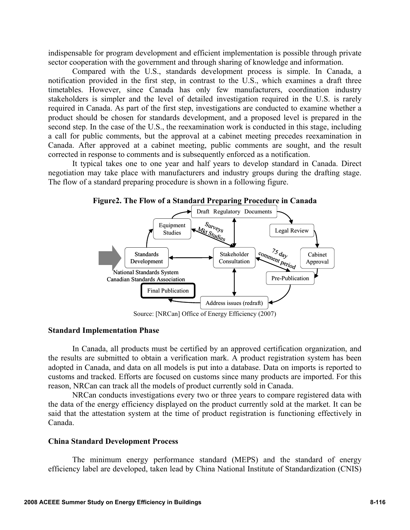indispensable for program development and efficient implementation is possible through private sector cooperation with the government and through sharing of knowledge and information.

Compared with the U.S., standards development process is simple. In Canada, a notification provided in the first step, in contrast to the U.S., which examines a draft three timetables. However, since Canada has only few manufacturers, coordination industry stakeholders is simpler and the level of detailed investigation required in the U.S. is rarely required in Canada. As part of the first step, investigations are conducted to examine whether a product should be chosen for standards development, and a proposed level is prepared in the second step. In the case of the U.S., the reexamination work is conducted in this stage, including a call for public comments, but the approval at a cabinet meeting precedes reexamination in Canada. After approved at a cabinet meeting, public comments are sought, and the result corrected in response to comments and is subsequently enforced as a notification.

It typical takes one to one year and half years to develop standard in Canada. Direct negotiation may take place with manufacturers and industry groups during the drafting stage. The flow of a standard preparing procedure is shown in a following figure.





Source: [NRCan] Office of Energy Efficiency (2007)

#### **Standard Implementation Phase**

In Canada, all products must be certified by an approved certification organization, and the results are submitted to obtain a verification mark. A product registration system has been adopted in Canada, and data on all models is put into a database. Data on imports is reported to customs and tracked. Efforts are focused on customs since many products are imported. For this reason, NRCan can track all the models of product currently sold in Canada.

NRCan conducts investigations every two or three years to compare registered data with the data of the energy efficiency displayed on the product currently sold at the market. It can be said that the attestation system at the time of product registration is functioning effectively in Canada.

#### **China Standard Development Process**

The minimum energy performance standard (MEPS) and the standard of energy efficiency label are developed, taken lead by China National Institute of Standardization (CNIS)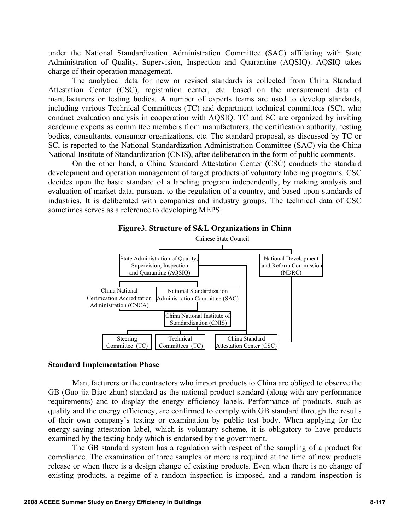under the National Standardization Administration Committee (SAC) affiliating with State Administration of Quality, Supervision, Inspection and Quarantine (AQSIQ). AQSIQ takes charge of their operation management.

The analytical data for new or revised standards is collected from China Standard Attestation Center (CSC), registration center, etc. based on the measurement data of manufacturers or testing bodies. A number of experts teams are used to develop standards, including various Technical Committees (TC) and department technical committees (SC), who conduct evaluation analysis in cooperation with AQSIQ. TC and SC are organized by inviting academic experts as committee members from manufacturers, the certification authority, testing bodies, consultants, consumer organizations, etc. The standard proposal, as discussed by TC or SC, is reported to the National Standardization Administration Committee (SAC) via the China National Institute of Standardization (CNIS), after deliberation in the form of public comments.

On the other hand, a China Standard Attestation Center (CSC) conducts the standard development and operation management of target products of voluntary labeling programs. CSC decides upon the basic standard of a labeling program independently, by making analysis and evaluation of market data, pursuant to the regulation of a country, and based upon standards of industries. It is deliberated with companies and industry groups. The technical data of CSC sometimes serves as a reference to developing MEPS.





#### **Standard Implementation Phase**

Manufacturers or the contractors who import products to China are obliged to observe the GB (Guo jia Biao zhun) standard as the national product standard (along with any performance requirements) and to display the energy efficiency labels. Performance of products, such as quality and the energy efficiency, are confirmed to comply with GB standard through the results of their own company's testing or examination by public test body. When applying for the energy-saving attestation label, which is voluntary scheme, it is obligatory to have products examined by the testing body which is endorsed by the government.

The GB standard system has a regulation with respect of the sampling of a product for compliance. The examination of three samples or more is required at the time of new products release or when there is a design change of existing products. Even when there is no change of existing products, a regime of a random inspection is imposed, and a random inspection is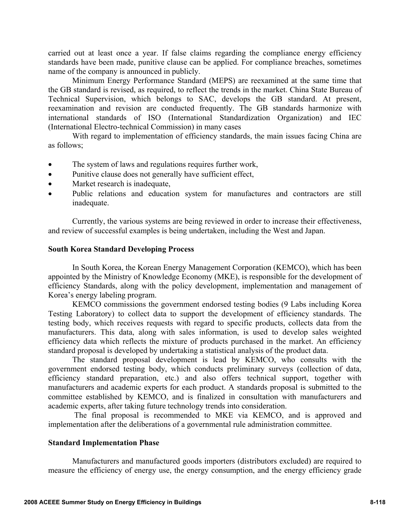carried out at least once a year. If false claims regarding the compliance energy efficiency standards have been made, punitive clause can be applied. For compliance breaches, sometimes name of the company is announced in publicly.

Minimum Energy Performance Standard (MEPS) are reexamined at the same time that the GB standard is revised, as required, to reflect the trends in the market. China State Bureau of Technical Supervision, which belongs to SAC, develops the GB standard. At present, reexamination and revision are conducted frequently. The GB standards harmonize with international standards of ISO (International Standardization Organization) and IEC (International Electro-technical Commission) in many cases

With regard to implementation of efficiency standards, the main issues facing China are as follows;

- The system of laws and regulations requires further work,
- Punitive clause does not generally have sufficient effect,
- Market research is inadequate,
- Public relations and education system for manufactures and contractors are still inadequate.

Currently, the various systems are being reviewed in order to increase their effectiveness, and review of successful examples is being undertaken, including the West and Japan.

#### **South Korea Standard Developing Process**

In South Korea, the Korean Energy Management Corporation (KEMCO), which has been appointed by the Ministry of Knowledge Economy (MKE), is responsible for the development of efficiency Standards, along with the policy development, implementation and management of Korea's energy labeling program.

KEMCO commissions the government endorsed testing bodies (9 Labs including Korea Testing Laboratory) to collect data to support the development of efficiency standards. The testing body, which receives requests with regard to specific products, collects data from the manufacturers. This data, along with sales information, is used to develop sales weighted efficiency data which reflects the mixture of products purchased in the market. An efficiency standard proposal is developed by undertaking a statistical analysis of the product data.

The standard proposal development is lead by KEMCO, who consults with the government endorsed testing body, which conducts preliminary surveys (collection of data, efficiency standard preparation, etc.) and also offers technical support, together with manufacturers and academic experts for each product. A standards proposal is submitted to the committee established by KEMCO, and is finalized in consultation with manufacturers and academic experts, after taking future technology trends into consideration.

 The final proposal is recommended to MKE via KEMCO, and is approved and implementation after the deliberations of a governmental rule administration committee.

#### **Standard Implementation Phase**

Manufacturers and manufactured goods importers (distributors excluded) are required to measure the efficiency of energy use, the energy consumption, and the energy efficiency grade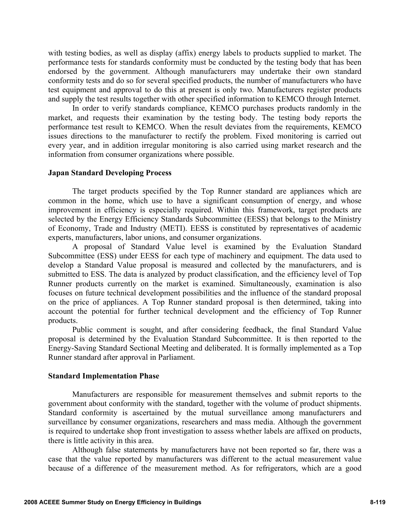with testing bodies, as well as display (affix) energy labels to products supplied to market. The performance tests for standards conformity must be conducted by the testing body that has been endorsed by the government. Although manufacturers may undertake their own standard conformity tests and do so for several specified products, the number of manufacturers who have test equipment and approval to do this at present is only two. Manufacturers register products and supply the test results together with other specified information to KEMCO through Internet.

In order to verify standards compliance, KEMCO purchases products randomly in the market, and requests their examination by the testing body. The testing body reports the performance test result to KEMCO. When the result deviates from the requirements, KEMCO issues directions to the manufacturer to rectify the problem. Fixed monitoring is carried out every year, and in addition irregular monitoring is also carried using market research and the information from consumer organizations where possible.

#### **Japan Standard Developing Process**

The target products specified by the Top Runner standard are appliances which are common in the home, which use to have a significant consumption of energy, and whose improvement in efficiency is especially required. Within this framework, target products are selected by the Energy Efficiency Standards Subcommittee (EESS) that belongs to the Ministry of Economy, Trade and Industry (METI). EESS is constituted by representatives of academic experts, manufacturers, labor unions, and consumer organizations.

A proposal of Standard Value level is examined by the Evaluation Standard Subcommittee (ESS) under EESS for each type of machinery and equipment. The data used to develop a Standard Value proposal is measured and collected by the manufacturers, and is submitted to ESS. The data is analyzed by product classification, and the efficiency level of Top Runner products currently on the market is examined. Simultaneously, examination is also focuses on future technical development possibilities and the influence of the standard proposal on the price of appliances. A Top Runner standard proposal is then determined, taking into account the potential for further technical development and the efficiency of Top Runner products.

Public comment is sought, and after considering feedback, the final Standard Value proposal is determined by the Evaluation Standard Subcommittee. It is then reported to the Energy-Saving Standard Sectional Meeting and deliberated. It is formally implemented as a Top Runner standard after approval in Parliament.

#### **Standard Implementation Phase**

Manufacturers are responsible for measurement themselves and submit reports to the government about conformity with the standard, together with the volume of product shipments. Standard conformity is ascertained by the mutual surveillance among manufacturers and surveillance by consumer organizations, researchers and mass media. Although the government is required to undertake shop front investigation to assess whether labels are affixed on products, there is little activity in this area.

Although false statements by manufacturers have not been reported so far, there was a case that the value reported by manufacturers was different to the actual measurement value because of a difference of the measurement method. As for refrigerators, which are a good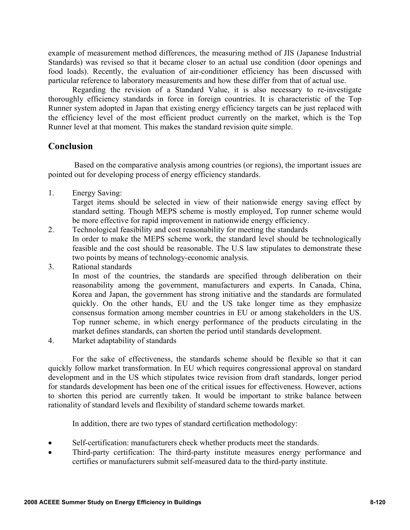example of measurement method differences, the measuring method of JIS (Japanese Industrial Standards) was revised so that it became closer to an actual use condition (door openings and food loads). Recently, the evaluation of air-conditioner efficiency has been discussed with particular reference to laboratory measurements and how these differ from that of actual use.

Regarding the revision of a Standard Value, it is also necessary to re-investigate thoroughly efficiency standards in force in foreign countries. It is characteristic of the Top Runner system adopted in Japan that existing energy efficiency targets can be just replaced with the efficiency level of the most efficient product currently on the market, which is the Top Runner level at that moment. This makes the standard revision quite simple.

## **Conclusion**

 Based on the comparative analysis among countries (or regions), the important issues are pointed out for developing process of energy efficiency standards.

1. Energy Saving:

Target items should be selected in view of their nationwide energy saving effect by standard setting. Though MEPS scheme is mostly employed, Top runner scheme would be more effective for rapid improvement in nationwide energy efficiency.

2. Technological feasibility and cost reasonability for meeting the standards

In order to make the MEPS scheme work, the standard level should be technologically feasible and the cost should be reasonable. The U.S law stipulates to demonstrate these two points by means of technology-economic analysis.

3. Rational standards

In most of the countries, the standards are specified through deliberation on their reasonability among the government, manufacturers and experts. In Canada, China, Korea and Japan, the government has strong initiative and the standards are formulated quickly. On the other hands, EU and the US take longer time as they emphasize consensus formation among member countries in EU or among stakeholders in the US. Top runner scheme, in which energy performance of the products circulating in the market defines standards, can shorten the period until standards development.

4. Market adaptability of standards

For the sake of effectiveness, the standards scheme should be flexible so that it can quickly follow market transformation. In EU which requires congressional approval on standard development and in the US which stipulates twice revision from draft standards, longer period for standards development has been one of the critical issues for effectiveness. However, actions to shorten this period are currently taken. It would be important to strike balance between rationality of standard levels and flexibility of standard scheme towards market.

In addition, there are two types of standard certification methodology:

- Self-certification: manufacturers check whether products meet the standards.
- Third-party certification: The third-party institute measures energy performance and certifies or manufacturers submit self-measured data to the third-party institute.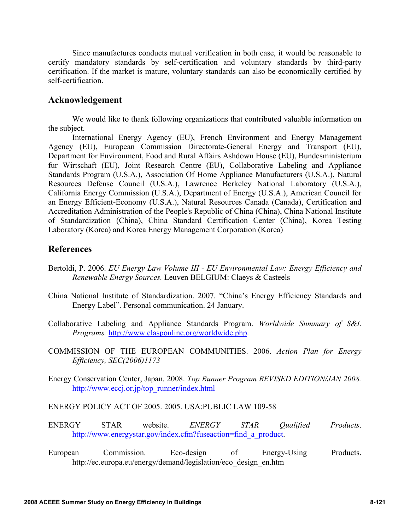Since manufactures conducts mutual verification in both case, it would be reasonable to certify mandatory standards by self-certification and voluntary standards by third-party certification. If the market is mature, voluntary standards can also be economically certified by self-certification.

### **Acknowledgement**

We would like to thank following organizations that contributed valuable information on the subject.

International Energy Agency (EU), French Environment and Energy Management Agency (EU), European Commission Directorate-General Energy and Transport (EU), Department for Environment, Food and Rural Affairs Ashdown House (EU), Bundesministerium fur Wirtschaft (EU), Joint Research Centre (EU), Collaborative Labeling and Appliance Standards Program (U.S.A.), Association Of Home Appliance Manufacturers (U.S.A.), Natural Resources Defense Council (U.S.A.), Lawrence Berkeley National Laboratory (U.S.A.), California Energy Commission (U.S.A.), Department of Energy (U.S.A.), American Council for an Energy Efficient-Economy (U.S.A.), Natural Resources Canada (Canada), Certification and Accreditation Administration of the People's Republic of China (China), China National Institute of Standardization (China), China Standard Certification Center (China), Korea Testing Laboratory (Korea) and Korea Energy Management Corporation (Korea)

### **References**

- Bertoldi, P. 2006. *EU Energy Law Volume III EU Environmental Law: Energy Efficiency and Renewable Energy Sources.* Leuven BELGIUM: Claeys & Casteels
- China National Institute of Standardization. 2007. "China's Energy Efficiency Standards and Energy Label". Personal communication. 24 January.
- Collaborative Labeling and Appliance Standards Program. *Worldwide Summary of S&L Programs.* http://www.clasponline.org/worldwide.php.
- COMMISSION OF THE EUROPEAN COMMUNITIES. 2006. *Action Plan for Energy Efficiency, SEC(2006)1173*

Energy Conservation Center, Japan. 2008. *Top Runner Program REVISED EDITION/JAN 2008.* http://www.eccj.or.jp/top\_runner/index.html

### ENERGY POLICY ACT OF 2005. 2005. USA:PUBLIC LAW 109-58

- ENERGY STAR website. *ENERGY STAR Qualified Products*. http://www.energystar.gov/index.cfm?fuseaction=find a product.
- European Commission. Eco-design of Energy-Using Products. http://ec.europa.eu/energy/demand/legislation/eco\_design\_en.htm